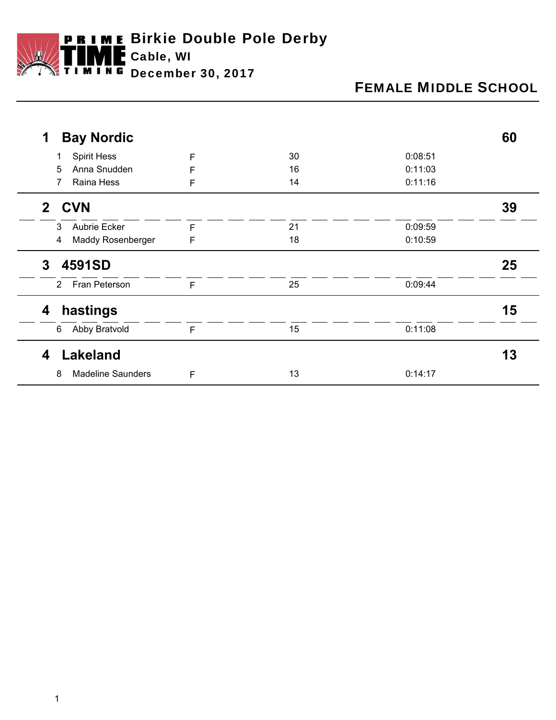

# FEMALE MIDDLE SCHOOL

| <b>Bay Nordic</b><br>1       |   |    |         | 60 |
|------------------------------|---|----|---------|----|
| <b>Spirit Hess</b>           | F | 30 | 0:08:51 |    |
| Anna Snudden<br>5            | F | 16 | 0:11:03 |    |
| Raina Hess                   | F | 14 | 0:11:16 |    |
| <b>CVN</b><br>2 <sup>1</sup> |   |    |         | 39 |
| Aubrie Ecker<br>3            | F | 21 | 0:09:59 |    |
| Maddy Rosenberger<br>4       | F | 18 | 0:10:59 |    |
| 4591SD<br>3                  |   |    |         | 25 |
| Fran Peterson<br>2           | F | 25 | 0:09:44 |    |
| hastings<br>4                |   |    |         | 15 |
| Abby Bratvold<br>6           | F | 15 | 0:11:08 |    |
| Lakeland<br>4                |   |    |         | 13 |
| <b>Madeline Saunders</b>     | F | 13 | 0:14:17 |    |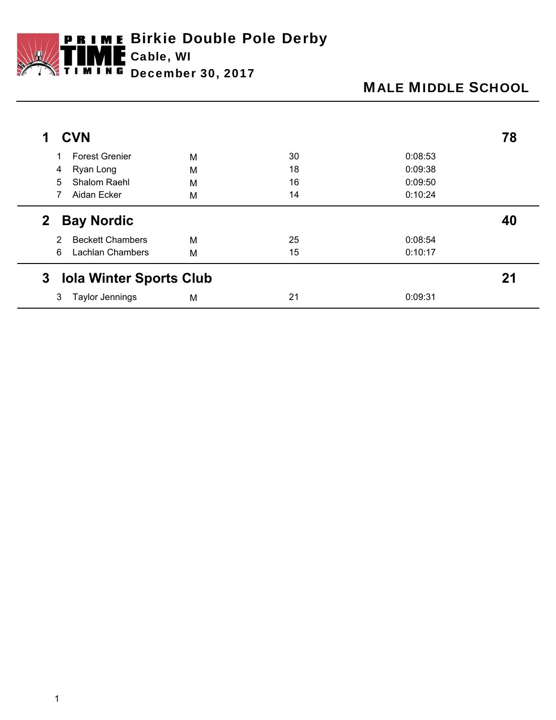

# MALE MIDDLE SCHOOL

|        | <b>CVN</b>                                   |   |    |         | 78 |
|--------|----------------------------------------------|---|----|---------|----|
|        | <b>Forest Grenier</b>                        | M | 30 | 0:08:53 |    |
| 4      | Ryan Long                                    | M | 18 | 0:09:38 |    |
| 5      | <b>Shalom Raehl</b>                          | M | 16 | 0:09:50 |    |
|        | Aidan Ecker                                  | M | 14 | 0:10:24 |    |
| 2<br>2 | <b>Bay Nordic</b><br><b>Beckett Chambers</b> | M | 25 | 0:08:54 | 40 |
|        |                                              |   |    |         |    |
| 6      | <b>Lachlan Chambers</b>                      | M | 15 | 0:10:17 |    |
| 3      | <b>Iola Winter Sports Club</b>               |   |    |         | 21 |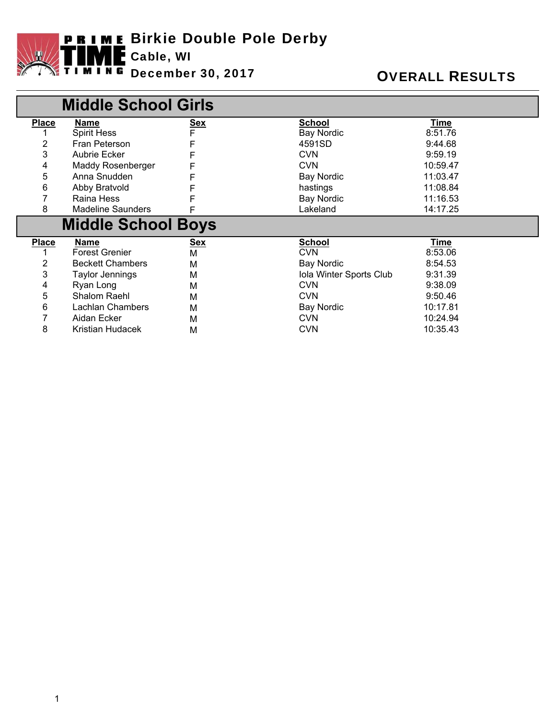

|                           | <b>Middle School Girls</b> |                 |                         |          |  |  |
|---------------------------|----------------------------|-----------------|-------------------------|----------|--|--|
| <b>Place</b>              | <b>Name</b>                | <u>Sex</u><br>F | <b>School</b>           | Time     |  |  |
|                           | <b>Spirit Hess</b>         |                 | <b>Bay Nordic</b>       | 8:51.76  |  |  |
| 2                         | Fran Peterson              |                 | 4591SD                  | 9:44.68  |  |  |
| 3                         | Aubrie Ecker               | F               | <b>CVN</b>              | 9:59.19  |  |  |
| 4                         | Maddy Rosenberger          |                 | <b>CVN</b>              | 10:59.47 |  |  |
| 5                         | Anna Snudden               | F               | <b>Bay Nordic</b>       | 11:03.47 |  |  |
| 6                         | Abby Bratvold              |                 | hastings                | 11:08.84 |  |  |
|                           | Raina Hess                 | F               | <b>Bay Nordic</b>       | 11:16.53 |  |  |
| 8                         | <b>Madeline Saunders</b>   | F               | Lakeland                | 14:17.25 |  |  |
| <b>Middle School Boys</b> |                            |                 |                         |          |  |  |
|                           |                            |                 |                         |          |  |  |
| <b>Place</b>              | Name                       | <b>Sex</b>      | <b>School</b>           | Time     |  |  |
|                           | <b>Forest Grenier</b>      | М               | <b>CVN</b>              | 8:53.06  |  |  |
| 2                         | <b>Beckett Chambers</b>    | M               | <b>Bay Nordic</b>       | 8:54.53  |  |  |
| 3                         | <b>Taylor Jennings</b>     | м               | Iola Winter Sports Club | 9:31.39  |  |  |
| 4                         | Ryan Long                  | М               | <b>CVN</b>              | 9:38.09  |  |  |
| 5                         | Shalom Raehl               | M               | <b>CVN</b>              | 9:50.46  |  |  |
| 6                         | <b>Lachlan Chambers</b>    | М               | <b>Bay Nordic</b>       | 10:17.81 |  |  |
| 7                         | Aidan Ecker                | м               | <b>CVN</b>              | 10:24.94 |  |  |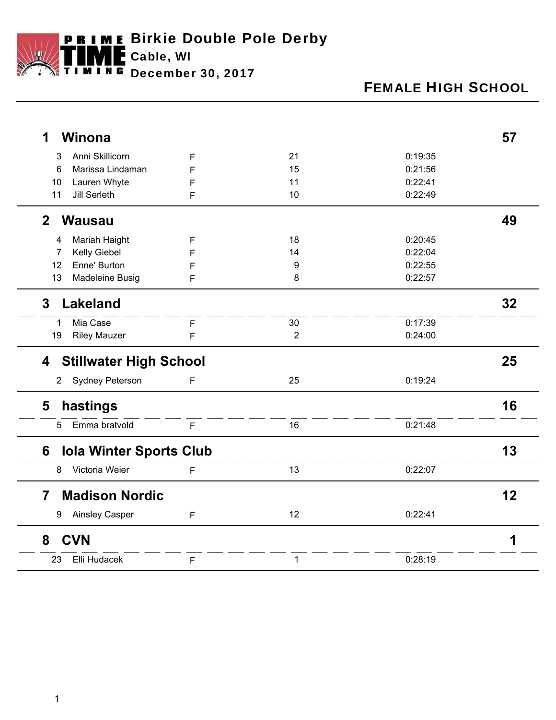

# FEMALE HIGH SCHOOL

| <b>Winona</b><br>1                      |   |                |         | 57 |
|-----------------------------------------|---|----------------|---------|----|
| Anni Skillicorn<br>3                    | F | 21             | 0:19:35 |    |
| 6<br>Marissa Lindaman                   | F | 15             | 0:21:56 |    |
| Lauren Whyte<br>10                      | F | 11             | 0:22:41 |    |
| <b>Jill Serleth</b><br>11               | F | 10             | 0:22:49 |    |
| $\mathbf{2}$<br><b>Wausau</b>           |   |                |         | 49 |
| Mariah Haight<br>4                      | F | 18             | 0:20:45 |    |
| Kelly Giebel<br>7                       | F | 14             | 0:22:04 |    |
| Enne' Burton<br>12                      | F | 9              | 0:22:55 |    |
| 13<br>Madeleine Busig                   | F | 8              | 0:22:57 |    |
| <b>Lakeland</b><br>3                    |   |                |         | 32 |
| Mia Case<br>1                           | F | 30             | 0:17:39 |    |
| <b>Riley Mauzer</b><br>19               | F | $\overline{2}$ | 0:24:00 |    |
| <b>Stillwater High School</b><br>4      |   |                |         | 25 |
| Sydney Peterson<br>$\overline{2}$       | F | 25             | 0:19:24 |    |
| hastings<br>5                           |   |                |         | 16 |
| Emma bratvold<br>5                      | F | 16             | 0:21:48 |    |
| <b>Iola Winter Sports Club</b><br>6     |   |                |         | 13 |
| Victoria Weier<br>8                     | F | 13             | 0:22:07 |    |
| <b>Madison Nordic</b><br>$\overline{7}$ |   |                |         | 12 |
| <b>Ainsley Casper</b><br>9              | F | 12             | 0:22:41 |    |
| <b>CVN</b><br>8                         |   |                |         | 1  |
| Elli Hudacek<br>23                      | F | $\mathbf{1}$   | 0:28:19 |    |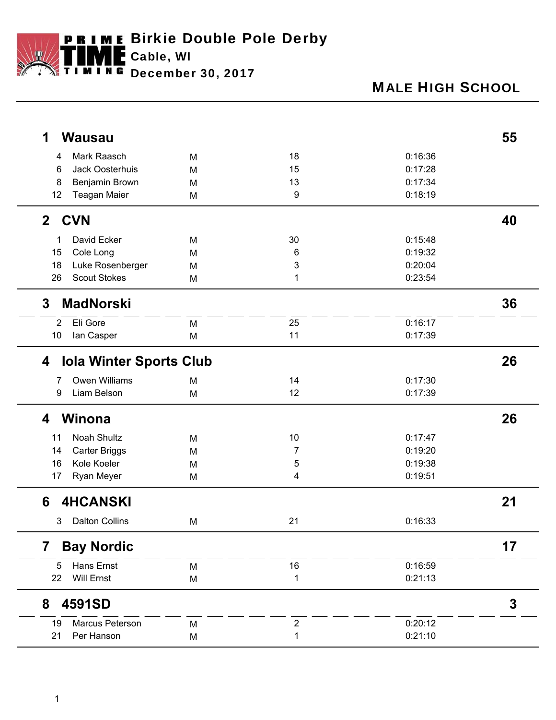

## MALE HIGH SCHOOL

| <b>Wausau</b><br>1                  |   |                  |         | 55 |
|-------------------------------------|---|------------------|---------|----|
| Mark Raasch<br>4                    | M | 18               | 0:16:36 |    |
| Jack Oosterhuis<br>6                | M | 15               | 0:17:28 |    |
| Benjamin Brown<br>8                 | M | 13               | 0:17:34 |    |
| 12<br><b>Teagan Maier</b>           | M | 9                | 0:18:19 |    |
| <b>CVN</b><br>$\mathbf{2}$          |   |                  |         | 40 |
| David Ecker<br>1                    | M | 30               | 0:15:48 |    |
| Cole Long<br>15                     | M | 6                | 0:19:32 |    |
| Luke Rosenberger<br>18              | M | 3                | 0:20:04 |    |
| <b>Scout Stokes</b><br>26           | M | 1                | 0:23:54 |    |
| <b>MadNorski</b><br>3               |   |                  |         | 36 |
| Eli Gore<br>$\overline{2}$          | M | 25               | 0:16:17 |    |
| 10<br>lan Casper                    | M | 11               | 0:17:39 |    |
| <b>Iola Winter Sports Club</b><br>4 |   |                  |         | 26 |
| <b>Owen Williams</b><br>7           | M | 14               | 0:17:30 |    |
| Liam Belson<br>9                    | M | 12               | 0:17:39 |    |
| Winona<br>4                         |   |                  |         | 26 |
| Noah Shultz<br>11                   | M | $10$             | 0:17:47 |    |
| <b>Carter Briggs</b><br>14          | M | 7                | 0:19:20 |    |
| Kole Koeler<br>16                   | M | 5                | 0:19:38 |    |
| Ryan Meyer<br>17                    | M | 4                | 0:19:51 |    |
| <b>4HCANSKI</b><br>6                |   |                  |         | 21 |
| <b>Dalton Collins</b><br>3          | M | 21               | 0:16:33 |    |
| <b>Bay Nordic</b><br>7              |   |                  |         | 17 |
| <b>Hans Ernst</b><br>5              | M | 16               | 0:16:59 |    |
| <b>Will Ernst</b><br>22             | M | 1                | 0:21:13 |    |
| 4591SD<br>8                         |   |                  |         | 3  |
| Marcus Peterson<br>19               | M | $\boldsymbol{2}$ | 0:20:12 |    |
| Per Hanson<br>21                    | M | 1                | 0:21:10 |    |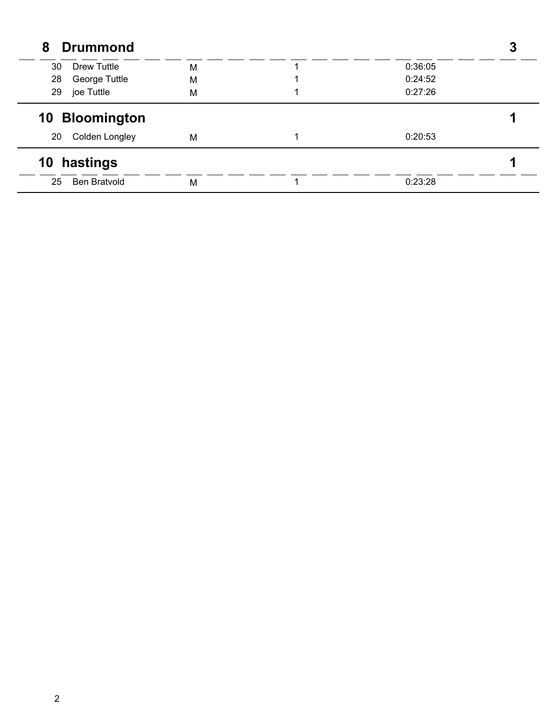| <b>Drummond</b><br>8 |   |         |  |
|----------------------|---|---------|--|
| 30<br>Drew Tuttle    | M | 0:36:05 |  |
| 28<br>George Tuttle  | M | 0:24:52 |  |
| 29<br>joe Tuttle     | M | 0:27:26 |  |
| 10 Bloomington       |   |         |  |
| Colden Longley<br>20 | M | 0:20:53 |  |
|                      |   |         |  |
| 10 hastings          |   |         |  |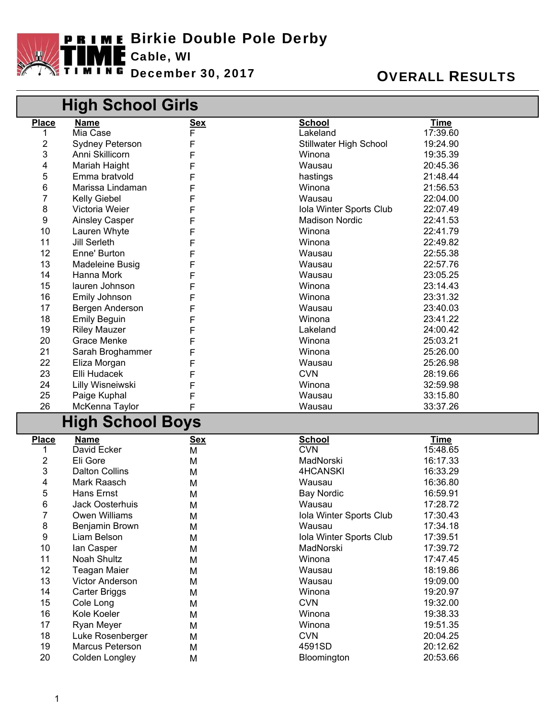

### **OVERALL RESULTS**

|                | High School Girls      |            |                               |             |  |  |
|----------------|------------------------|------------|-------------------------------|-------------|--|--|
| <b>Place</b>   | <b>Name</b>            | <u>Sex</u> | <b>School</b>                 | <b>Time</b> |  |  |
| 1              | Mia Case               | F          | Lakeland                      | 17:39.60    |  |  |
| $\overline{c}$ | <b>Sydney Peterson</b> | F          | <b>Stillwater High School</b> | 19:24.90    |  |  |
| 3              | Anni Skillicorn        |            | Winona                        | 19:35.39    |  |  |
| 4              | Mariah Haight          |            | Wausau                        | 20:45.36    |  |  |
| 5              | Emma bratvold          |            | hastings                      | 21:48.44    |  |  |
| 6              | Marissa Lindaman       |            | Winona                        | 21:56.53    |  |  |
| 7              | <b>Kelly Giebel</b>    |            | Wausau                        | 22:04.00    |  |  |
| 8              | Victoria Weier         |            | Iola Winter Sports Club       | 22:07.49    |  |  |
| 9              | <b>Ainsley Casper</b>  |            | <b>Madison Nordic</b>         | 22:41.53    |  |  |
| 10             | Lauren Whyte           | F          | Winona                        | 22:41.79    |  |  |
| 11             | <b>Jill Serleth</b>    | F          | Winona                        | 22:49.82    |  |  |
| 12             | Enne' Burton           | F          | Wausau                        | 22:55.38    |  |  |
| 13             | Madeleine Busig        | F          | Wausau                        | 22:57.76    |  |  |
| 14             | Hanna Mork             | F          | Wausau                        | 23:05.25    |  |  |
| 15             | lauren Johnson         | F          | Winona                        | 23:14.43    |  |  |
| 16             | Emily Johnson          | F          | Winona                        | 23:31.32    |  |  |
| 17             | Bergen Anderson        | F          | Wausau                        | 23:40.03    |  |  |
| 18             | <b>Emily Beguin</b>    | F          | Winona                        | 23:41.22    |  |  |
| 19             | <b>Riley Mauzer</b>    | F          | Lakeland                      | 24:00.42    |  |  |
| 20             | Grace Menke            | F          | Winona                        | 25:03.21    |  |  |
| 21             | Sarah Broghammer       | F          | Winona                        | 25:26.00    |  |  |
| 22             | Eliza Morgan           | F          | Wausau                        | 25:26.98    |  |  |
| 23             | Elli Hudacek           | F          | <b>CVN</b>                    | 28:19.66    |  |  |
| 24             | Lilly Wisneiwski       | F          | Winona                        | 32:59.98    |  |  |
| 25             | Paige Kuphal           | F          | Wausau                        | 33:15.80    |  |  |
| 26             | McKenna Taylor         | F          | Wausau                        | 33:37.26    |  |  |
|                | High School Boys       |            |                               |             |  |  |
|                |                        |            |                               |             |  |  |
| <b>Place</b>   | <b>Name</b>            | <u>Sex</u> | <b>School</b>                 | <b>Time</b> |  |  |
| 1              | David Ecker            | M          | <b>CVN</b>                    | 15:48.65    |  |  |
| $\overline{c}$ | Eli Gore               | M          | MadNorski                     | 16:17.33    |  |  |
| 3              | <b>Dalton Collins</b>  | M          | 4HCANSKI                      | 16:33.29    |  |  |
| 4              | Mark Raasch            | M          | Wausau                        | 16:36.80    |  |  |
| 5              | Hans Ernst             | М          | <b>Bay Nordic</b>             | 16:59.91    |  |  |
| 6              | Jack Oosterhuis        | М          | Wausau                        | 17:28.72    |  |  |
| 7              | Owen Williams          | М          | Iola Winter Sports Club       | 17:30.43    |  |  |
| 8              | Benjamin Brown         | M          | Wausau                        | 17:34.18    |  |  |
| 9              | Liam Belson            | М          | Iola Winter Sports Club       | 17:39.51    |  |  |
| 10             | lan Casper             | М          | MadNorski                     | 17:39.72    |  |  |
| 11             | Noah Shultz            | М          | Winona                        | 17:47.45    |  |  |
| 12             | <b>Teagan Maier</b>    | М          | Wausau                        | 18:19.86    |  |  |
| 13             | Victor Anderson        | М          | Wausau                        | 19:09.00    |  |  |
| 14             | <b>Carter Briggs</b>   | М          | Winona                        | 19:20.97    |  |  |
| 15             | Cole Long              | М          | <b>CVN</b>                    | 19:32.00    |  |  |
| 16             | Kole Koeler            | М          | Winona                        | 19:38.33    |  |  |
| 17             | Ryan Meyer             | М          | Winona                        | 19:51.35    |  |  |
| 18             | Luke Rosenberger       | М          | <b>CVN</b>                    | 20:04.25    |  |  |
| 19             | Marcus Peterson        | М          | 4591SD                        | 20:12.62    |  |  |
| 20             | Colden Longley         | М          | Bloomington                   | 20:53.66    |  |  |

 $\lceil$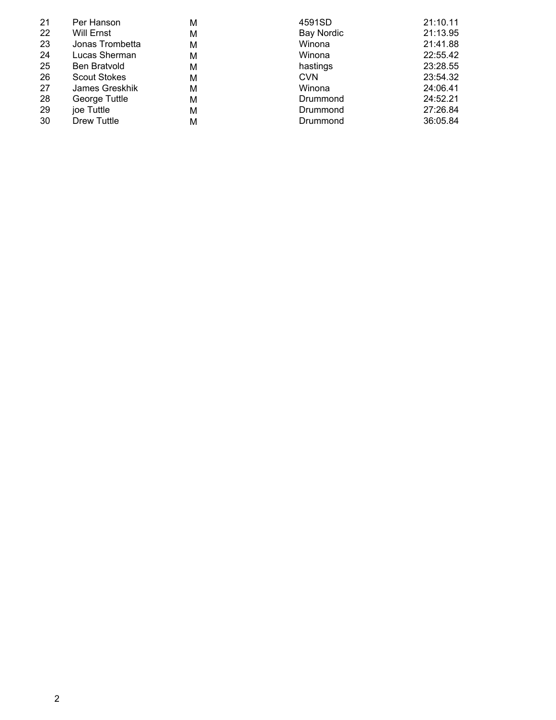| 21 | Per Hanson          | М | 4591SD            | 21:10.11 |
|----|---------------------|---|-------------------|----------|
| 22 | Will Ernst          | М | <b>Bay Nordic</b> | 21:13.95 |
| 23 | Jonas Trombetta     | М | Winona            | 21:41.88 |
| 24 | Lucas Sherman       | М | Winona            | 22:55.42 |
| 25 | <b>Ben Bratvold</b> | М | hastings          | 23:28.55 |
| 26 | <b>Scout Stokes</b> | М | <b>CVN</b>        | 23:54.32 |
| 27 | James Greskhik      | М | Winona            | 24:06.41 |
| 28 | George Tuttle       | М | Drummond          | 24:52.21 |
| 29 | joe Tuttle          | М | Drummond          | 27:26.84 |
| 30 | Drew Tuttle         | м | Drummond          | 36:05.84 |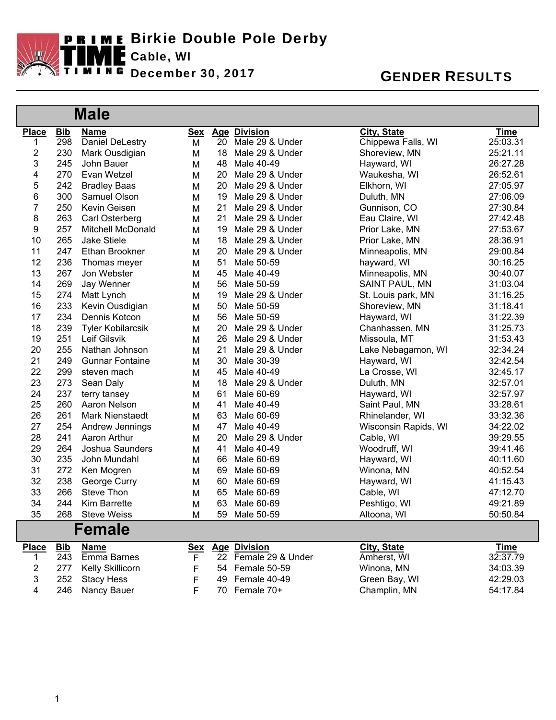

|              |            | <b>Male</b>              |            |    |                      |                      |             |
|--------------|------------|--------------------------|------------|----|----------------------|----------------------|-------------|
| <b>Place</b> | <b>Bib</b> | <b>Name</b>              | <b>Sex</b> |    | <b>Age Division</b>  | <b>City, State</b>   | <b>Time</b> |
| 1            | 298        | <b>Daniel DeLestry</b>   | M          | 20 | Male 29 & Under      | Chippewa Falls, WI   | 25:03.31    |
| 2            | 230        | Mark Ousdigian           | M          | 18 | Male 29 & Under      | Shoreview, MN        | 25:21.11    |
| 3            | 245        | John Bauer               | M          | 48 | Male 40-49           | Hayward, WI          | 26:27.28    |
| 4            | 270        | Evan Wetzel              | M          | 20 | Male 29 & Under      | Waukesha, WI         | 26:52.61    |
| 5            | 242        | <b>Bradley Baas</b>      | M          | 20 | Male 29 & Under      | Elkhorn, WI          | 27:05.97    |
| 6            | 300        | Samuel Olson             | M          | 19 | Male 29 & Under      | Duluth, MN           | 27:06.09    |
| 7            | 250        | Kevin Geisen             | M          | 21 | Male 29 & Under      | Gunnison, CO         | 27:30.84    |
| 8            | 263        | Carl Osterberg           | M          | 21 | Male 29 & Under      | Eau Claire, WI       | 27:42.48    |
| 9            | 257        | <b>Mitchell McDonald</b> | M          | 19 | Male 29 & Under      | Prior Lake, MN       | 27:53.67    |
| 10           | 265        | <b>Jake Stiele</b>       | M          | 18 | Male 29 & Under      | Prior Lake, MN       | 28:36.91    |
| 11           | 247        | Ethan Brookner           | M          | 20 | Male 29 & Under      | Minneapolis, MN      | 29:00.84    |
| 12           | 236        | Thomas meyer             | M          | 51 | Male 50-59           | hayward, WI          | 30:16.25    |
| 13           | 267        | Jon Webster              | M          | 45 | Male 40-49           | Minneapolis, MN      | 30:40.07    |
| 14           | 269        | Jay Wenner               | M          | 56 | Male 50-59           | SAINT PAUL, MN       | 31:03.04    |
| 15           | 274        | Matt Lynch               | M          | 19 | Male 29 & Under      | St. Louis park, MN   | 31:16.25    |
| 16           | 233        | Kevin Ousdigian          | M          | 50 | Male 50-59           | Shoreview, MN        | 31:18.41    |
| 17           | 234        | Dennis Kotcon            | M          | 56 | Male 50-59           | Hayward, WI          | 31:22.39    |
| 18           | 239        | <b>Tyler Kobilarcsik</b> | M          | 20 | Male 29 & Under      | Chanhassen, MN       | 31:25.73    |
| 19           | 251        | Leif Gilsvik             | M          | 26 | Male 29 & Under      | Missoula, MT         | 31:53.43    |
| 20           | 255        | Nathan Johnson           | M          | 21 | Male 29 & Under      | Lake Nebagamon, WI   | 32:34.24    |
| 21           | 249        | <b>Gunnar Fontaine</b>   | M          | 30 | Male 30-39           | Hayward, WI          | 32:42.54    |
| 22           | 299        | steven mach              | M          | 45 | Male 40-49           | La Crosse, WI        | 32:45.17    |
| 23           | 273        | Sean Daly                | M          | 18 | Male 29 & Under      | Duluth, MN           | 32:57.01    |
| 24           | 237        | terry tansey             | M          | 61 | Male 60-69           | Hayward, WI          | 32:57.97    |
| 25           | 260        | Aaron Nelson             | M          | 41 | Male 40-49           | Saint Paul, MN       | 33:28.61    |
| 26           | 261        | Mark Nienstaedt          | M          | 63 | Male 60-69           | Rhinelander, WI      | 33:32.36    |
| 27           | 254        | Andrew Jennings          | M          | 47 | Male 40-49           | Wisconsin Rapids, WI | 34:22.02    |
| 28           | 241        | Aaron Arthur             | M          | 20 | Male 29 & Under      | Cable, WI            | 39:29.55    |
| 29           | 264        | <b>Joshua Saunders</b>   | M          | 41 | Male 40-49           | Woodruff, WI         | 39:41.46    |
| 30           | 235        | John Mundahl             | M          | 66 | Male 60-69           | Hayward, WI          | 40:11.60    |
| 31           | 272        | Ken Mogren               | M          | 69 | Male 60-69           | Winona, MN           | 40:52.54    |
| 32           | 238        | George Curry             | M          | 60 | Male 60-69           | Hayward, WI          | 41:15.43    |
| 33           | 266        | Steve Thon               | M          | 65 | Male 60-69           | Cable, WI            | 47:12.70    |
| 34           | 244        | Kim Barrette             | M          | 63 | Male 60-69           | Peshtigo, WI         | 49:21.89    |
| 35           | 268        | <b>Steve Weiss</b>       | M          |    | 59 Male 50-59        | Altoona, WI          | 50:50.84    |
|              |            | <b>Female</b>            |            |    |                      |                      |             |
| <b>Place</b> | <b>Bib</b> | <b>Name</b>              | <b>Sex</b> |    | <b>Age Division</b>  | <b>City, State</b>   | <b>Time</b> |
| 1            | 243        | <b>Emma Barnes</b>       | F          |    | 22 Female 29 & Under | Amherst, WI          | 32:37.79    |
| 2            | 277        | Kelly Skillicorn         | F          | 54 | Female 50-59         | Winona, MN           | 34:03.39    |
| 3            | 252        | <b>Stacy Hess</b>        | F          | 49 | Female 40-49         | Green Bay, WI        | 42:29.03    |
| 4            | 246        | Nancy Bauer              | F          |    | 70 Female 70+        | Champlin, MN         | 54:17.84    |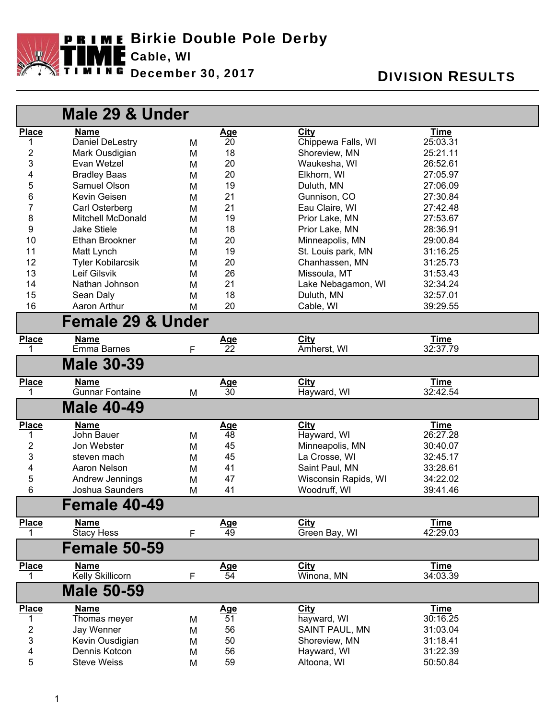

| Male 29 & Under         |                              |   |                 |                       |             |
|-------------------------|------------------------------|---|-----------------|-----------------------|-------------|
| <b>Place</b>            | <b>Name</b>                  |   | <u>Age</u>      | City                  | <b>Time</b> |
| 1                       | <b>Daniel DeLestry</b>       | M | 20              | Chippewa Falls, WI    | 25:03.31    |
| $\overline{\mathbf{c}}$ | Mark Ousdigian               | M | 18              | Shoreview, MN         | 25:21.11    |
| 3                       | Evan Wetzel                  | M | 20              | Waukesha, WI          | 26:52.61    |
| 4                       | <b>Bradley Baas</b>          | M | 20              | Elkhorn, WI           | 27:05.97    |
| 5                       | Samuel Olson                 | M | 19              | Duluth, MN            | 27:06.09    |
| 6                       | Kevin Geisen                 | M | 21              | Gunnison, CO          | 27:30.84    |
| 7                       | Carl Osterberg               | M | 21              | Eau Claire, WI        | 27:42.48    |
| 8                       | <b>Mitchell McDonald</b>     | M | 19              | Prior Lake, MN        | 27:53.67    |
| 9                       | <b>Jake Stiele</b>           | M | 18              | Prior Lake, MN        | 28:36.91    |
| 10                      | Ethan Brookner               | M | 20              | Minneapolis, MN       | 29:00.84    |
| 11                      | Matt Lynch                   | M | 19              | St. Louis park, MN    | 31:16.25    |
| 12                      | <b>Tyler Kobilarcsik</b>     | M | 20              | Chanhassen, MN        | 31:25.73    |
| 13                      | Leif Gilsvik                 | M | 26              | Missoula, MT          | 31:53.43    |
| 14                      | Nathan Johnson               | M | 21              | Lake Nebagamon, WI    | 32:34.24    |
| 15                      | Sean Daly                    | M | 18              | Duluth, MN            | 32:57.01    |
| 16                      | Aaron Arthur                 | M | 20              | Cable, WI             | 39:29.55    |
|                         | <b>Female 29 &amp; Under</b> |   |                 |                       |             |
| <b>Place</b>            | <b>Name</b>                  |   | <u>Age</u>      | City                  | <b>Time</b> |
| 1                       | Emma Barnes                  | F | $\overline{22}$ | Amherst, WI           | 32:37.79    |
|                         | <b>Male 30-39</b>            |   |                 |                       |             |
| <b>Place</b>            | <b>Name</b>                  |   | <u>Age</u>      | City                  | <b>Time</b> |
| 1                       | <b>Gunnar Fontaine</b>       | M | 30              | Hayward, WI           | 32:42.54    |
|                         | <b>Male 40-49</b>            |   |                 |                       |             |
| <b>Place</b>            | <b>Name</b>                  |   | <u>Age</u>      | City                  | <b>Time</b> |
| 1                       | John Bauer                   | M | 48              | Hayward, WI           | 26:27.28    |
| 2                       | Jon Webster                  | M | 45              | Minneapolis, MN       | 30:40.07    |
| 3                       | steven mach                  | M | 45              | La Crosse, WI         | 32:45.17    |
| 4                       | Aaron Nelson                 | M | 41              | Saint Paul, MN        | 33:28.61    |
| 5                       | Andrew Jennings              | M | 47              | Wisconsin Rapids, WI  | 34:22.02    |
| 6                       | Joshua Saunders              | M | 41              | Woodruff, WI          | 39:41.46    |
|                         | Female 40-49                 |   |                 |                       |             |
| <b>Place</b>            | <b>Name</b>                  |   | <u>Age</u>      | City                  | <b>Time</b> |
|                         | <b>Stacy Hess</b>            | F | 49              | Green Bay, WI         | 42:29.03    |
|                         | <b>Female 50-59</b>          |   |                 |                       |             |
| <b>Place</b>            | <b>Name</b>                  |   | <u>Age</u>      | City                  | <b>Time</b> |
| 1                       | <b>Kelly Skillicorn</b>      | F | 54              | Winona, MN            | 34:03.39    |
|                         | <b>Male 50-59</b>            |   |                 |                       |             |
| <b>Place</b>            | <b>Name</b>                  |   | <u>Age</u>      | City                  | <b>Time</b> |
| 1                       | Thomas meyer                 | M | 51              | hayward, WI           | 30:16.25    |
| 2                       | Jay Wenner                   | M | 56              | <b>SAINT PAUL, MN</b> | 31:03.04    |
| 3                       | Kevin Ousdigian              | M | 50              | Shoreview, MN         | 31:18.41    |
| 4                       | Dennis Kotcon                | M | 56              | Hayward, WI           | 31:22.39    |
| 5                       | <b>Steve Weiss</b>           | M | 59              | Altoona, WI           | 50:50.84    |